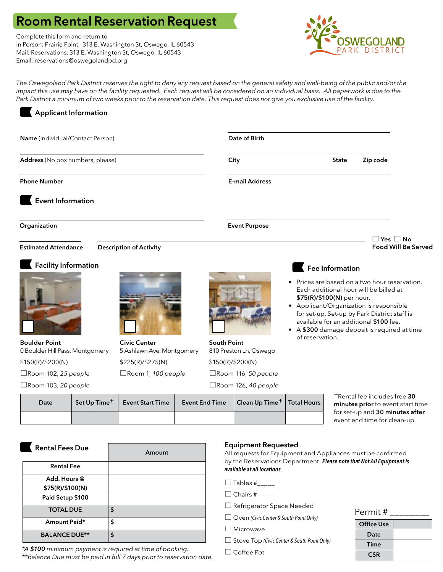# Room Rental Reservation Request

Complete this form and return to In Person: Prairie Point, 313 E. Washington St, Oswego, IL 60543 Mail: Reservations, 313 E. Washington St, Oswego, IL 60543 Email: reservations@oswegolandpd.org



The Oswegoland Park District reserves the right to deny any request based on the general safety and well-being of the public and/or the *impact this use may have on the facility requested. Each request will be considered on an individual basis. All paperwork is due to the Park District a minimum of two weeks prior to the reservation date. This request does not give you exclusive use of the facility.* 

# Applicant Information

| Name (Individual/Contact Person)                        |                                                  |  |                                              | Date of Birth              |                                                                                                                                                                        |                 |                                                                                                                                  |                            |
|---------------------------------------------------------|--------------------------------------------------|--|----------------------------------------------|----------------------------|------------------------------------------------------------------------------------------------------------------------------------------------------------------------|-----------------|----------------------------------------------------------------------------------------------------------------------------------|----------------------------|
| Address (No box numbers, please)                        |                                                  |  |                                              | City                       |                                                                                                                                                                        | <b>State</b>    | Zip code                                                                                                                         |                            |
| <b>Phone Number</b>                                     |                                                  |  |                                              | <b>E-mail Address</b>      |                                                                                                                                                                        |                 |                                                                                                                                  |                            |
| <b>Event Information</b>                                |                                                  |  |                                              |                            |                                                                                                                                                                        |                 |                                                                                                                                  |                            |
| Organization                                            |                                                  |  |                                              | <b>Event Purpose</b>       |                                                                                                                                                                        |                 |                                                                                                                                  |                            |
|                                                         |                                                  |  |                                              |                            |                                                                                                                                                                        |                 |                                                                                                                                  | $\Box$ Yes $\Box$ No       |
| <b>Estimated Attendance</b>                             | <b>Description of Activity</b>                   |  |                                              |                            |                                                                                                                                                                        |                 |                                                                                                                                  | <b>Food Will Be Served</b> |
| <b>Facility Information</b>                             |                                                  |  |                                              |                            | • Prices are based on a two hour reservation.<br>\$75(R)/\$100(N) per hour.<br>• Applicant/Organization is responsible<br>• A \$300 damage deposit is required at time | Fee Information | Each additional hour will be billed at<br>for set-up. Set-up by Park District staff is<br>available for an additional \$100 fee. |                            |
| <b>Boulder Point</b><br>0 Boulder Hill Pass, Montgomery | <b>Civic Center</b><br>5 Ashlawn Ave, Montgomery |  | <b>South Point</b><br>810 Preston Ln, Oswego |                            | of reservation.                                                                                                                                                        |                 |                                                                                                                                  |                            |
| \$150(R)/\$200(N)                                       | \$225(R)/\$275(N)                                |  | \$150(R)/\$200(N)                            |                            |                                                                                                                                                                        |                 |                                                                                                                                  |                            |
| $\Box$ Room 102, 25 people<br>Room 1, 100 people        |                                                  |  | $\Box$ Room 116, 50 people                   |                            |                                                                                                                                                                        |                 |                                                                                                                                  |                            |
| $\Box$ Room 103, 20 people                              |                                                  |  |                                              | $\Box$ Room 126, 40 people |                                                                                                                                                                        |                 |                                                                                                                                  |                            |
| Set Up Time <sup>+</sup><br>Date                        | <b>Event Start Time</b>                          |  | <b>Event End Time</b>                        | Clean Up Time <sup>+</sup> | <b>Total Hours</b>                                                                                                                                                     |                 | <sup>+</sup> Rental fee includes free 30<br>minutes prior to event start time<br>for set-up and 30 minutes after                 |                            |

| <b>Rental Fees Due</b> | Amount |
|------------------------|--------|
| <b>Rental Fee</b>      |        |
| Add. Hours @           |        |
| \$75(R)/\$100(N)       |        |
| Paid Setup \$100       |        |
| <b>TOTAL DUE</b>       | \$     |
| Amount Paid*           | \$     |
| <b>BALANCE DUE**</b>   | \$     |

*\*A \$100 minimum payment is required at time of booking. \*\*Balance Due must be paid in full 7 days prior to reservation date.*

# Equipment Requested

All requests for Equipment and Appliances must be confirmed by the Reservations Department. *Please note that Not All Equipment is available at all locations.*

 $\Box$  Tables #\_\_\_\_\_

- $\Box$  Chairs #
- □ Refrigerator Space Needed
- Oven *(Civic Center & South Point Only)*

□ Microwave

- Stove Top *(Civic Center & South Point Only)*
- □ Coffee Pot

#### Permit # \_\_\_\_\_\_\_\_

| <b>Office Use</b> |  |
|-------------------|--|
| Date              |  |
| Time              |  |
| <b>CSR</b>        |  |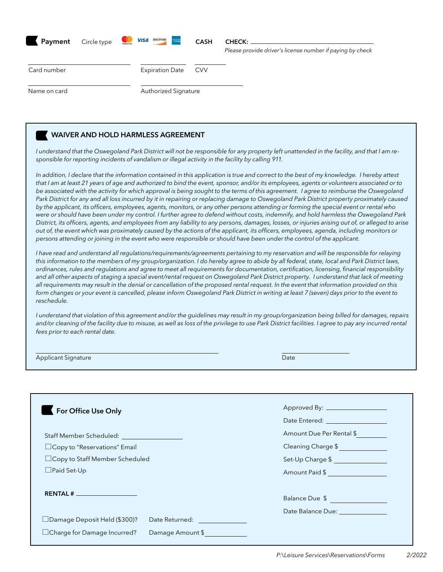| Payment      | Circle type | <b>VISA BROWN</b><br>$\sum_{\text{mostercard}}$<br>omeren<br>Esuec | <b>CASH</b> | <b>CHECK:</b><br>Please provide driver's license number if paying by check |
|--------------|-------------|--------------------------------------------------------------------|-------------|----------------------------------------------------------------------------|
| Card number  |             | <b>Expiration Date</b>                                             | <b>CVV</b>  |                                                                            |
| Name on card |             | Authorized Signature                                               |             |                                                                            |

# WAIVER AND HOLD HARMLESS AGREEMENT

*I understand that the Oswegoland Park District will not be responsible for any property left unattended in the facility, and that I am responsible for reporting incidents of vandalism or illegal activity in the facility by calling 911.* 

In addition, I declare that the information contained in this application is true and correct to the best of my knowledge. I hereby attest *that I am at least 21 years of age and authorized to bind the event, sponsor, and/or its employees, agents or volunteers associated or to be associated with the activity for which approval is being sought to the terms of this agreement. I agree to reimburse the Oswegoland Park District for any and all loss incurred by it in repairing or replacing damage to Oswegoland Park District property proximately caused by the applicant, its officers, employees, agents, monitors, or any other persons attending or forming the special event or rental who were or should have been under my control. I further agree to defend without costs, indemnify, and hold harmless the Oswegoland Park District, its officers, agents, and employees from any liability to any persons, damages, losses, or injuries arising out of, or alleged to arise out of, the event which was proximately caused by the actions of the applicant, its officers, employees, agenda, including monitors or persons attending or joining in the event who were responsible or should have been under the control of the applicant.*

*I have read and understand all regulations/requirements/agreements pertaining to my reservation and will be responsible for relaying this information to the members of my group/organization. I do hereby agree to abide by all federal, state, local and Park District laws, ordinances, rules and regulations and agree to meet all requirements for documentation, certification, licensing, financial responsibility and all other aspects of staging a special event/rental request on Oswegoland Park District property. I understand that lack of meeting all requirements may result in the denial or cancellation of the proposed rental request. In the event that information provided on this form changes or your event is cancelled, please inform Oswegoland Park District in writing at least 7 (seven) days prior to the event to reschedule.*

*I understand that violation of this agreement and/or the guidelines may result in my group/organization being billed for damages, repairs*  and/or cleaning of the facility due to misuse, as well as loss of the privilege to use Park District facilities. I agree to pay any incurred rental *fees prior to each rental date.*

| Applicant Signature | Date |
|---------------------|------|
|                     |      |

| For Office Use Only                   |                                                                                                                                                                                                                                | Approved By: ___________________<br>Date Entered: The Contract of the Contract of the Contract of the Contract of the Contract of the Contract of the Contract of the Contract of the Contract of the Contract of the Contract of the Contract of the Contract of |
|---------------------------------------|--------------------------------------------------------------------------------------------------------------------------------------------------------------------------------------------------------------------------------|-------------------------------------------------------------------------------------------------------------------------------------------------------------------------------------------------------------------------------------------------------------------|
|                                       |                                                                                                                                                                                                                                | Amount Due Per Rental \$                                                                                                                                                                                                                                          |
| □ Copy to "Reservations" Email        |                                                                                                                                                                                                                                | Cleaning Charge \$                                                                                                                                                                                                                                                |
| $\Box$ Copy to Staff Member Scheduled |                                                                                                                                                                                                                                | Set-Up Charge \$                                                                                                                                                                                                                                                  |
| $\Box$ Paid Set-Up                    |                                                                                                                                                                                                                                | Amount Paid \$                                                                                                                                                                                                                                                    |
|                                       |                                                                                                                                                                                                                                | Balance Due \$<br>Date Balance Due: The Contract of the Contract of the Contract of the Contract of the Contract of the Contract of the Contract of the Contract of the Contract of the Contract of the Contract of the Contract of the Contract                  |
| $\Box$ Damage Deposit Held (\$300)?   | Date Returned: The Contract of the Contract of the Contract of the Contract of the Contract of the Contract of the Contract of the Contract of the Contract of the Contract of the Contract of the Contract of the Contract of |                                                                                                                                                                                                                                                                   |
| $\Box$ Charge for Damage Incurred?    | Damage Amount \$                                                                                                                                                                                                               |                                                                                                                                                                                                                                                                   |